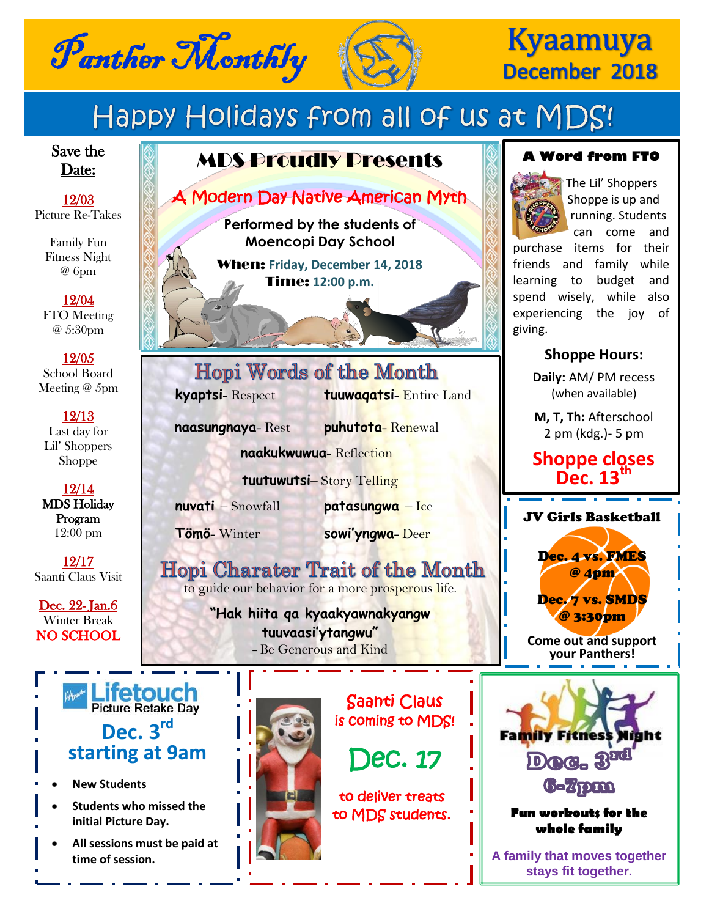

# **Kyaamuya** December 2018

# Happy Holidays from all of us at MDS!